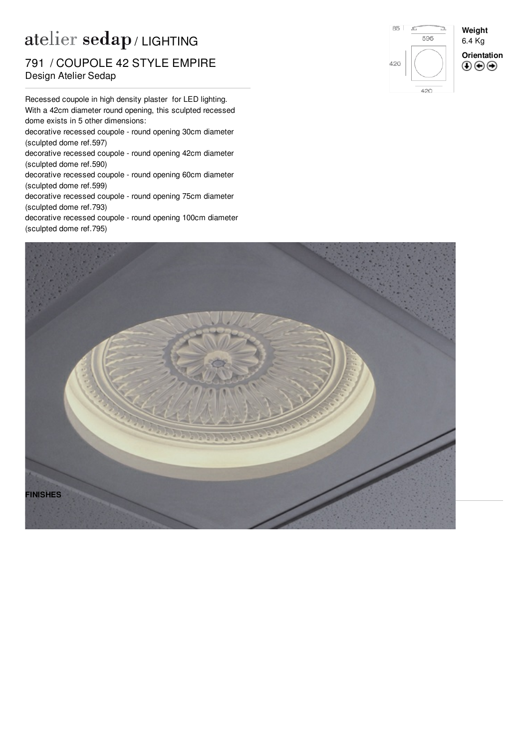## atelier sedap / LIGHTING

## nommooor older<br>Design Atelier Sedap 791 / COUPOLE 42 STYLE EMPIRE

Recessed coupole in high density plaster for LED lighting. With a 42cm diameter round opening, this sculpted recessed dome exists in 5 other dimensions:

decorative recessed coupole - round opening 30cm diameter (sculpted dome ref[.597](http://www.sedap.com/lighting/en/produits/view/597))

decorative recessed coupole - round opening 42cm diameter (sculpted dome ref[.590](http://www.sedap.com/lighting/en/produits/view/590))

decorative recessed coupole - round opening 60cm diameter (sculpted dome ref[.599](http://www.sedap.com/lighting/en/produits/view/599))

decorative recessed coupole - round opening 75cm diameter (sculpted dome ref[.793](http://www.sedap.com/lighting/en/produits/view/793))

decorative recessed coupole - round opening 100cm diameter (sculpted dome ref[.795](http://www.sedap.com/lighting/en/produits/view/795))



420

**Weight** 6.4 Kg **Orientation** $\circledcirc\circ$